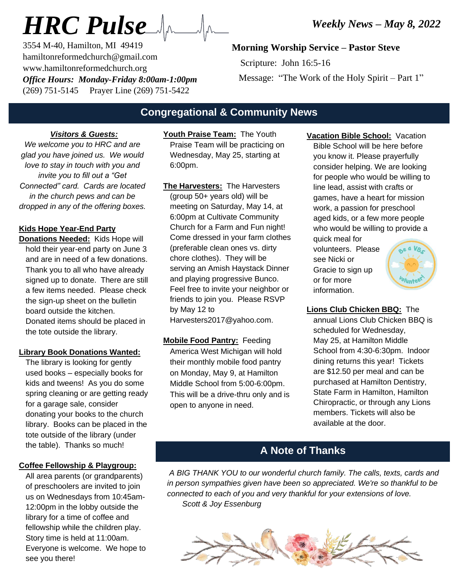# *HRC Pulse*

3554 M-40, Hamilton, MI 49419 hamiltonreformedchurch@gmail.com www.hamiltonreformedchurch.org *Office Hours: Monday-Friday 8:00am-1:00pm* (269) 751-5145 Prayer Line (269) 751-5422

# **Morning Worship Service – Pastor Steve**

 Scripture: John 16:5-16 Message: "The Work of the Holy Spirit – Part 1"

# **Congregational & Community News**

#### *Visitors & Guests:*

*We welcome you to HRC and are glad you have joined us. We would love to stay in touch with you and invite you to fill out a "Get Connected" card. Cards are located in the church pews and can be dropped in any of the offering boxes.*

### **Kids Hope Year-End Party**

**Donations Needed:** Kids Hope will hold their year-end party on June 3 and are in need of a few donations. Thank you to all who have already signed up to donate. There are still a few items needed. Please check the sign-up sheet on the bulletin board outside the kitchen. Donated items should be placed in the tote outside the library.

#### **Library Book Donations Wanted:**

The library is looking for gently used books – especially books for kids and tweens! As you do some spring cleaning or are getting ready for a garage sale, consider donating your books to the church library. Books can be placed in the tote outside of the library (under the table). Thanks so much!

#### **Coffee Fellowship & Playgroup:**

All area parents (or grandparents) of preschoolers are invited to join us on Wednesdays from 10:45am-12:00pm in the lobby outside the library for a time of coffee and fellowship while the children play. Story time is held at 11:00am. Everyone is welcome. We hope to see you there!

**Youth Praise Team:** The Youth Praise Team will be practicing on Wednesday, May 25, starting at 6:00pm.

- **The Harvesters:** The Harvesters (group 50+ years old) will be meeting on Saturday, May 14, at 6:00pm at Cultivate Community Church for a Farm and Fun night! Come dressed in your farm clothes (preferable clean ones vs. dirty chore clothes). They will be serving an Amish Haystack Dinner and playing progressive Bunco. Feel free to invite your neighbor or friends to join you. Please RSVP by May 12 to Harvesters2017@yahoo.com.
- **Mobile Food Pantry:** Feeding America West Michigan will hold their monthly mobile food pantry on Monday, May 9, at Hamilton Middle School from 5:00-6:00pm. This will be a drive-thru only and is open to anyone in need.

**Vacation Bible School:** Vacation Bible School will be here before you know it. Please prayerfully consider helping. We are looking for people who would be willing to line lead, assist with crafts or games, have a heart for mission work, a passion for preschool aged kids, or a few more people who would be willing to provide a

quick meal for volunteers. Please see Nicki or Gracie to sign up or for more information.



#### **Lions Club Chicken BBQ:** The annual Lions Club Chicken BBQ is scheduled for Wednesday, May 25, at Hamilton Middle School from 4:30-6:30pm. Indoor dining returns this year! Tickets are \$12.50 per meal and can be purchased at Hamilton Dentistry, State Farm in Hamilton, Hamilton Chiropractic, or through any Lions members. Tickets will also be available at the door.

# **A Note of Thanks**

*A BIG THANK YOU to our wonderful church family. The calls, texts, cards and in person sympathies given have been so appreciated. We're so thankful to be connected to each of you and very thankful for your extensions of love. Scott & Joy Essenburg*